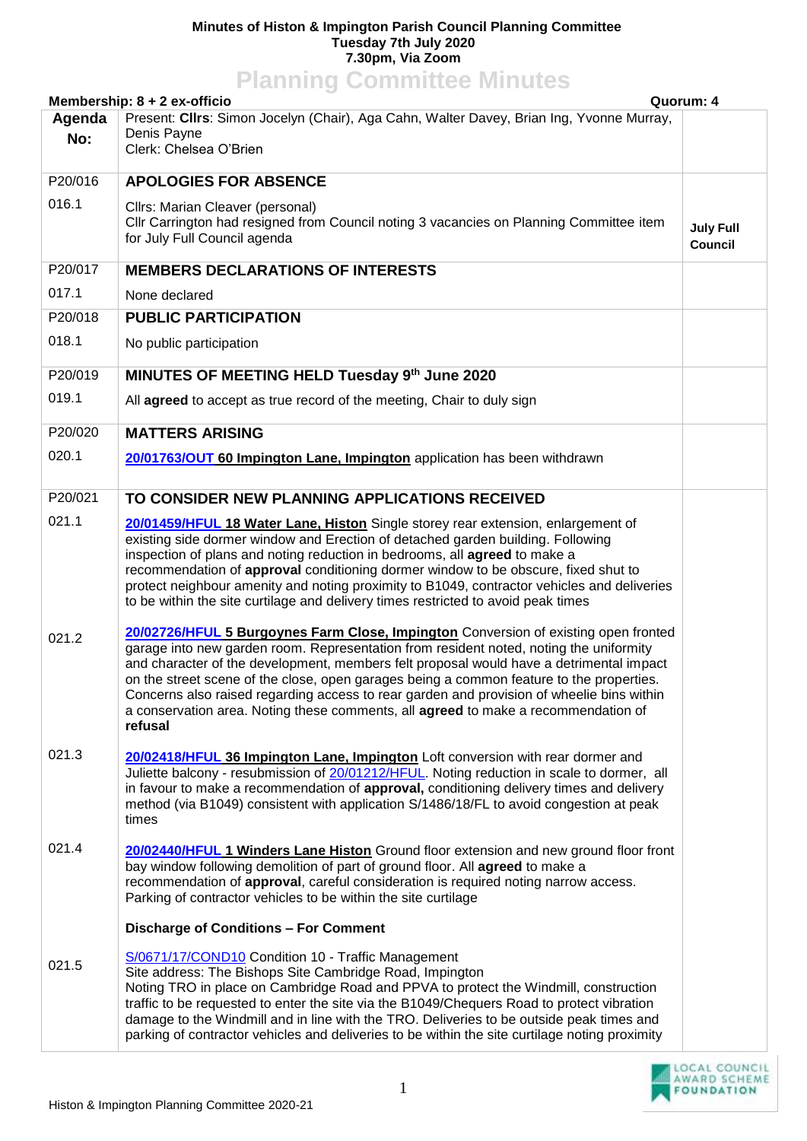## **Minutes of Histon & Impington Parish Council Planning Committee Tuesday 7th July 2020 7.30pm, Via Zoom Planning Committee Minutes**

| <b>Planning Committee Minutes</b>                                                                                                               |                                                                                                                                                                                                                                                                                                                                                                                                                                                                                                                                                                    |                             |  |
|-------------------------------------------------------------------------------------------------------------------------------------------------|--------------------------------------------------------------------------------------------------------------------------------------------------------------------------------------------------------------------------------------------------------------------------------------------------------------------------------------------------------------------------------------------------------------------------------------------------------------------------------------------------------------------------------------------------------------------|-----------------------------|--|
| Membership: 8 + 2 ex-officio<br>Quorum: 4<br>Present: Cllrs: Simon Jocelyn (Chair), Aga Cahn, Walter Davey, Brian Ing, Yvonne Murray,<br>Agenda |                                                                                                                                                                                                                                                                                                                                                                                                                                                                                                                                                                    |                             |  |
| No:                                                                                                                                             | Denis Payne                                                                                                                                                                                                                                                                                                                                                                                                                                                                                                                                                        |                             |  |
|                                                                                                                                                 | Clerk: Chelsea O'Brien                                                                                                                                                                                                                                                                                                                                                                                                                                                                                                                                             |                             |  |
| P20/016                                                                                                                                         | <b>APOLOGIES FOR ABSENCE</b>                                                                                                                                                                                                                                                                                                                                                                                                                                                                                                                                       |                             |  |
| 016.1                                                                                                                                           | Cllrs: Marian Cleaver (personal)<br>Cllr Carrington had resigned from Council noting 3 vacancies on Planning Committee item<br>for July Full Council agenda                                                                                                                                                                                                                                                                                                                                                                                                        | <b>July Full</b><br>Council |  |
| P20/017                                                                                                                                         | <b>MEMBERS DECLARATIONS OF INTERESTS</b>                                                                                                                                                                                                                                                                                                                                                                                                                                                                                                                           |                             |  |
| 017.1                                                                                                                                           | None declared                                                                                                                                                                                                                                                                                                                                                                                                                                                                                                                                                      |                             |  |
| P20/018                                                                                                                                         | <b>PUBLIC PARTICIPATION</b>                                                                                                                                                                                                                                                                                                                                                                                                                                                                                                                                        |                             |  |
| 018.1                                                                                                                                           | No public participation                                                                                                                                                                                                                                                                                                                                                                                                                                                                                                                                            |                             |  |
| P20/019                                                                                                                                         | MINUTES OF MEETING HELD Tuesday 9th June 2020                                                                                                                                                                                                                                                                                                                                                                                                                                                                                                                      |                             |  |
| 019.1                                                                                                                                           | All agreed to accept as true record of the meeting, Chair to duly sign                                                                                                                                                                                                                                                                                                                                                                                                                                                                                             |                             |  |
| P20/020                                                                                                                                         | <b>MATTERS ARISING</b>                                                                                                                                                                                                                                                                                                                                                                                                                                                                                                                                             |                             |  |
| 020.1                                                                                                                                           | 20/01763/OUT 60 Impington Lane, Impington application has been withdrawn                                                                                                                                                                                                                                                                                                                                                                                                                                                                                           |                             |  |
| P20/021                                                                                                                                         | TO CONSIDER NEW PLANNING APPLICATIONS RECEIVED                                                                                                                                                                                                                                                                                                                                                                                                                                                                                                                     |                             |  |
| 021.1                                                                                                                                           | 20/01459/HFUL 18 Water Lane, Histon Single storey rear extension, enlargement of<br>existing side dormer window and Erection of detached garden building. Following<br>inspection of plans and noting reduction in bedrooms, all agreed to make a<br>recommendation of approval conditioning dormer window to be obscure, fixed shut to<br>protect neighbour amenity and noting proximity to B1049, contractor vehicles and deliveries<br>to be within the site curtilage and delivery times restricted to avoid peak times                                        |                             |  |
| 021.2                                                                                                                                           | 20/02726/HFUL 5 Burgoynes Farm Close, Impington Conversion of existing open fronted<br>garage into new garden room. Representation from resident noted, noting the uniformity<br>and character of the development, members felt proposal would have a detrimental impact<br>on the street scene of the close, open garages being a common feature to the properties.<br>Concerns also raised regarding access to rear garden and provision of wheelie bins within<br>a conservation area. Noting these comments, all agreed to make a recommendation of<br>refusal |                             |  |
| 021.3                                                                                                                                           | 20/02418/HFUL 36 Impington Lane, Impington Loft conversion with rear dormer and<br>Juliette balcony - resubmission of 20/01212/HFUL. Noting reduction in scale to dormer, all<br>in favour to make a recommendation of approval, conditioning delivery times and delivery<br>method (via B1049) consistent with application S/1486/18/FL to avoid congestion at peak<br>times                                                                                                                                                                                      |                             |  |
| 021.4                                                                                                                                           | 20/02440/HFUL 1 Winders Lane Histon Ground floor extension and new ground floor front<br>bay window following demolition of part of ground floor. All agreed to make a<br>recommendation of approval, careful consideration is required noting narrow access.<br>Parking of contractor vehicles to be within the site curtilage                                                                                                                                                                                                                                    |                             |  |
|                                                                                                                                                 | Discharge of Conditions - For Comment                                                                                                                                                                                                                                                                                                                                                                                                                                                                                                                              |                             |  |
| 021.5                                                                                                                                           | S/0671/17/COND10 Condition 10 - Traffic Management<br>Site address: The Bishops Site Cambridge Road, Impington<br>Noting TRO in place on Cambridge Road and PPVA to protect the Windmill, construction<br>traffic to be requested to enter the site via the B1049/Chequers Road to protect vibration<br>damage to the Windmill and in line with the TRO. Deliveries to be outside peak times and<br>parking of contractor vehicles and deliveries to be within the site curtilage noting proximity                                                                 |                             |  |